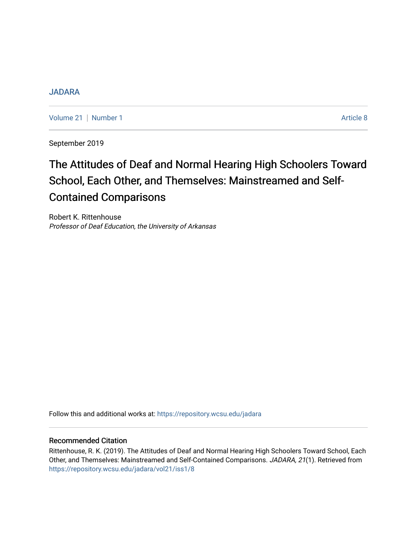# [JADARA](https://repository.wcsu.edu/jadara)

[Volume 21](https://repository.wcsu.edu/jadara/vol21) | [Number 1](https://repository.wcsu.edu/jadara/vol21/iss1) Article 8

September 2019

# The Attitudes of Deaf and Normal Hearing High Schoolers Toward School, Each Other, and Themselves: Mainstreamed and Self-Contained Comparisons

Robert K. Rittenhouse Professor of Deaf Education, the University of Arkansas

Follow this and additional works at: [https://repository.wcsu.edu/jadara](https://repository.wcsu.edu/jadara?utm_source=repository.wcsu.edu%2Fjadara%2Fvol21%2Fiss1%2F8&utm_medium=PDF&utm_campaign=PDFCoverPages)

## Recommended Citation

Rittenhouse, R. K. (2019). The Attitudes of Deaf and Normal Hearing High Schoolers Toward School, Each Other, and Themselves: Mainstreamed and Self-Contained Comparisons. JADARA, 21(1). Retrieved from [https://repository.wcsu.edu/jadara/vol21/iss1/8](https://repository.wcsu.edu/jadara/vol21/iss1/8?utm_source=repository.wcsu.edu%2Fjadara%2Fvol21%2Fiss1%2F8&utm_medium=PDF&utm_campaign=PDFCoverPages)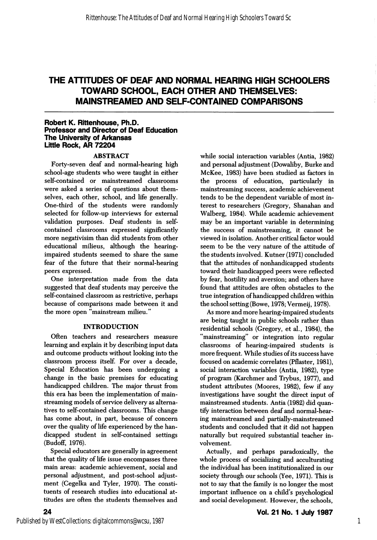# THE ATTITUDES OF DEAF AND NORMAL HEARING HIGH SCHOOLERS TOWARD SCHOOL, EACH OTHER AND THEMSELVES: MAINSTREAMED AND SELF-CONTAINED COMPARISONS

#### Robert K. Rittenhouse, Ph.D. Professor and Director of Deaf Education The University of Arkansas Little Rock, AR 72204

#### ABSTRACT

Forty-seven deaf and normal-hearing high school-age students who were taught in either self-contained or mainstreamed classrooms were asked a series of questions about them selves, each other, school, and life generally. One-third of the students were randomly selected for follow-up interviews for external validation purposes. Deaf students in selfcontained classrooms expressed significantly more negativisim than did students from other educational milieus, although the hearingimpaired students seemed to share the same fear of the future that their normal-hearing peers expressed.

One interpretation made from the data suggested that deaf students may perceive the self-contained classroom as restrictive, perhaps because of comparisons made between it and the more open "mainstream milieu."

#### INTRODUCTION

Often teachers and researchers measure learning and explain it by describing input data and outcome products without looking into the classroom process itself. For over a decade. Special Education has been undergoing a change in the basic premises for educating handicapped children. The major thrust from this era has been the implementation of mainstreaming models of service delivery as alterna tives to self-contained classrooms. This change has come about, in part, because of concern over the quality of life experienced by the han dicapped student in self-contained settings (Budoff, 1976).

Special educators are generally in agreement that the quality of life issue encompasses three main areas: academic achievement, social and personal adjustment, and post-school adjust ment (Cegelka and Tyler, 1970). The consti tuents of research studies into educational at titudes are often the students themselves and

while social interaction variables (Antia, 1982) and personal adjustment (Dowaliby, Burke and McKee, 1983) have been studied as factors in the process of education, particularly in mainstreaming success, academic achievement tends to be the dependent variable of most in terest to researchers (Gregory, Shanahan and Walberg, 1984). While academic achievement may be an important variable in determining the success of mainstreaming, it cannot be viewed in isolation. Another critical factor would seem to be the very nature of the attitude of the students involved. Kutner (1971) concluded that the attitudes of nonhandicapped students toward their handicapped peers were reflected by fear, hostility and aversion; and others have found that attitudes are often obstacles to the true integration of handicapped children within the school setting (Bowe, 1978; Vermeij, 1978).

As more and more hearing-impaired students are being taught in public schools rather than residential schools (Gregory, et al., 1984), the "mainstreaming" or integration into regular classrooms of hearing-impaired students is more frequent. While studies of its success have focused on academic correlates (Pflaster, 1981), social interaction variables (Antia, 1982), type of program (Karchmer and Trybus, 1977), and student attributes (Moores, 1982), few if any investigations have sought the direct input of mainstreamed students. Antia (1982) did quan tify interaction between deaf and normal-hear ing mainstreamed and partially-mainstreamed students and concluded that it did not happen naturally but required substantial teacher in volvement.

Actually, and perhaps paradoxically, the whole process of socializing and acculturating the individual has been institutionalized in our society through our schools (Yee, 1971). This is not to say that the family is no longer the most important influence on a child's psychological and social development. However, the schools.

24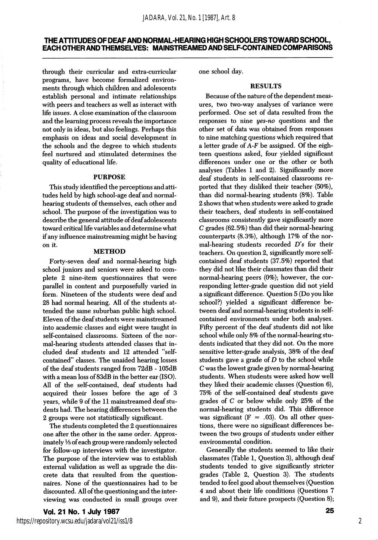## THEATTITUDES OF DEAFAND NORMAL-HEARING HIGH SCHOOLERS TOWARD SCHOOL, EACH OTHER AND THEMSELVES: MAINSTREAMED AND SELF-CONTAINED COMPARISONS

through their curricular and extra-curricular programs, have become formalized environ ments through which children and adolescents establish personal and intimate relationships with peers and teachers as well as interact with life issues. A close examination of the classroom and the learning process reveals the importance not only in ideas, but also feelings. Perhaps this emphasis on ideas and social development in the schools and the degree to which students feel nurtured and stimulated determines the quality of educational life.

#### PURPOSE

This study identified the perceptions and atti tudes held by high school-age deaf and normalhearing students of themselves, each other and school. The purpose of the investigation was to describe the general attitude of deaf adolescents toward critical life variables and determine what if any influence mainstreaming might be having on it.

#### METHOD

Forty-seven deaf and normal-hearing high school juniors and seniors were asked to com plete 2 nine-item questionnaires that were parallel in content and purposefully varied in form. Nineteen of the students were deaf and 28 had normal hearing. All of the students at tended the same suburban public high school. Eleven of the deaf students were mainstreamed into academic classes and eight were taught in self-contained classrooms. Sixteen of the nor mal-hearing students attended classes that in cluded deaf students and 12 attended "selfcontained" classes. The unaided hearing losses of the deaf students ranged from 72dB - 105dB with a mean loss of 83dB in the better ear (ISO). All of the self-contained, deaf students had acquired their losses before the age of 3 years, while 9 of the 11 mainstreamed deaf stu dents had. The hearing differences between the 2 groups were not statistically significant.

The students completed the 2 questionnaires one after the other in the same order. Approx imately Vs of each group were randomly selected for follow-up interviews with the investigator. The purpose of the interview was to establish external validation as well as upgrade the dis crete data that resulted from the question naires. None of the questionnaires had to be discounted. All of the questioning and the inter viewing was conducted in small groups over

#### one school day.

## RESULTS

Because of the nature of the dependent meas ures, two two-way analyses of variance were performed. One set of data resulted from the responses to nine yes-no questions and the other set of data was obtained from responses to nine matching questions which required that a letter grade of A-F be assigned. Of the eigh teen questions asked, four yielded significant differences under one or the other or both analyses (Tables 1 and 2). Significantly more deaf students in self-contained classrooms re ported that they disliked their teacher (50%), than did normal-hearing students (8%). Table 2 shows that when students were asked to grade their teachers, deaf students in self-contained classrooms consistently gave significantly more C grades (62.5%) than did their normal-hearing counterparts (8.3%), although 17% of the nor mal-hearing students recorded  $D$ 's for their teachers. On question 2, significantly more selfcontained deaf students (37.5%) reported that they did not like their classmates than did their normal-hearing peers (0%); however, the cor responding letter-grade question did not yield a significant difference. Question 5 (Do you like school?) yielded a significant difference be tween deaf and normal-hearing students in selfcontained environments under both analyses. Fifty percent of the deaf students did not like school while only 8% of the normal-hearing stu dents indicated that they did not. On the more sensitive letter-grade analysis, 38% of the deaf students gave a grade of  $D$  to the school while C was the lowest grade given by normal-hearing students. When students were asked how well they liked their academic classes (Question 6), 75% of the self-contained deaf students gave grades of C or below while only 25% of the normal-hearing students did. This difference was significant ( $F = .03$ ). On all other questions, there were no significant differences be tween the two groups of students under either environmental condition.

Generally the students seemed to like their classmates (Table 1, Question 3), although deaf students tended to give significantly stricter grades (Table 2, Question 3). The students tended to feel good about themselves (Question 4 and about their life conditions (Questions 7 and 9), and their future prospects (Question 8);

2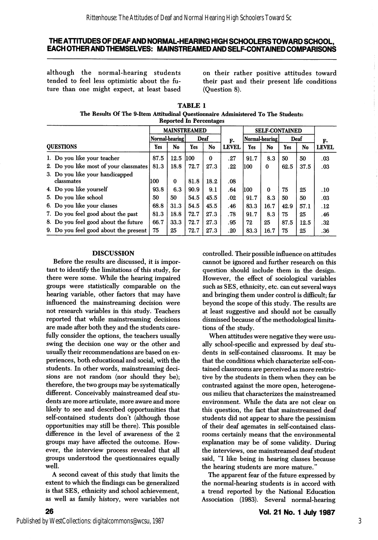## THE ATTITUDES OF DEAF AND NORMAL-HEARING HIGH SCHOOLERS TOWARD SCHOOL, EACH OTHER AND THEMSELVES: MAINSTREAMED AND SELF-CONTAINED COMPARISONS

although the normal-hearing students tended to feel less optimistic about the fu ture than one might expect, at least based

on their rather positive attitudes toward their past and their present life conditions (Question 8).

| <b>TABLE 1</b>                                                                    |
|-----------------------------------------------------------------------------------|
| The Results Of The 9-Item Attitudinal Questionnaire Administered To The Students: |
| <b>Reported In Percentages</b>                                                    |

|                                               | <b>MAINSTREAMED</b> |          |             |             | <b>SELF-CONTAINED</b> |                |              |      |      |              |
|-----------------------------------------------|---------------------|----------|-------------|-------------|-----------------------|----------------|--------------|------|------|--------------|
|                                               | Normal-hearing      |          | Deaf        |             | F-                    | Normal-hearing |              | Deaf |      | F-           |
| <b>OUESTIONS</b>                              | Yes                 | No       | Yes         | No          | <b>LEVEL</b>          | Yes            | No           | Yes  | No   | <b>LEVEL</b> |
| 1. Do you like your teacher                   | 87.5                | 12.5     | <b>IIOO</b> | $\mathbf 0$ | .27                   | 91.7           | 8.3          | 50   | 50   | .03          |
| 2. Do you like most of your classmates        | 81.3                | 18.8     | 72.7        | 27.3        | . 22                  | 1100           | $\mathbf{0}$ | 62.5 | 37.5 | .03          |
| 3. Do you like your handicapped<br>classmates | 100                 | $\bf{0}$ | 81.8        | 18.2        | .08                   |                |              |      |      |              |
| 4. Do you like yourself                       | 93.8                | 6.3      | 90.9        | 9.1         | .64                   | 100            | 0            | 75   | 25   | .10          |
| 5. Do you like school                         | 50                  | 50       | 54.5        | 45.5        | .02                   | 91.7           | 8.3          | 50   | 50   | .03          |
| 6. Do you like your classes                   | 68.8                | 31.3     | 54.5        | 45.5        | .46                   | 83.3           | 16.7         | 42.9 | 57.1 | .12          |
| 7. Do you feel good about the past            | 81.3                | 18.8     | 72.7        | 27.3        | .78                   | 91.7           | 8.3          | 75   | 25   | .46          |
| 8. Do you feel good about the future          | 66.7                | 33.3     | 72.7        | 27.3        | .95                   | 72             | 25           | 87.5 | 12.5 | .32          |
| 9. Do you feel good about the present         | 75                  | 25       | 72.7        | 27.3        | .20                   | 83.3           | 16.7         | 75   | 25   | .36          |

#### DISCUSSION

Before the results are discussed, it is impor tant to identify the limitations of this study, for there were some. While the hearing impaired groups were statistically comparable on the hearing variable, other factors that may have influenced the mainstreaming decision were not research variables in this study. Teachers reported that while mainstreaming decisions are made after both they and the students care fully consider the options, the teachers usually swing the decision one way or the other and usually their recommendations are based on ex periences, both educational and social, with the students. In other words, mainstreaming deci sions are not random (nor should they be); therefore, the two groups may be systematically different. Conceivably mainstreamed deaf students are more articulate, more aware and more likely to see and described opportunities that self-contained students don't (although those opportunities may still be there). This possible difference in the level of awareness of the 2 groups may have affected the outcome. How ever, the interview process revealed that all groups understood the questionnaires equally well.

A second caveat of this study that limits the extent to which the findings can be generalized is that SES, ethnicity and school achievement, as well as family history, were variables not

controlled. Their possible influence on attitudes cannot be ignored and further research on this question should include them in the design. However, the effect of sociological variables such as SES, ethnicity, etc. can cut several ways and bringing them under control is difficult; far beyond the scope of this study. The results are at least suggestive and should not be casually dismissed because of the methodological limita tions of the study.

When attitudes were negative they were usu ally school-specific and expressed by deaf stu dents in self-contained classrooms. It may be that the conditions which characterize self-con tained classrooms are perceived as more restric tive by the students in them when they can be contrasted against the more open, heterogene ous milieu that characterizes the mainstreamed environment. While the data are not clear on this question, the fact that mainstreamed deaf students did not appear to share the pessimism of their deaf agemates in self-contained class rooms certainly means that the environmental explanation may be of some validity. During the interviews, one mainstreamed deaf student said, "I like being in hearing classes because the hearing students are more mature."

The apparent fear of the future expressed by the normal-hearing students is in accord with a trend reported by the National Education Association (1983). Several normal-hearing

26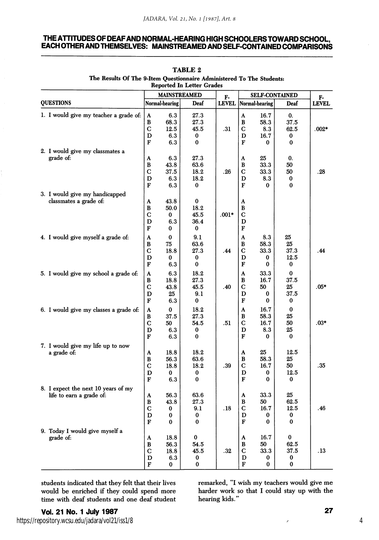#### THE ATTITUDES OF DEAF AND NORMAL-HEARING HIGH SCHOOLERS TOWARD SCHOOL, EACH OTHER AND THEMSELVES: MAINSTREAMED AND SELF-CONTAINED COMPARISONS

| Reported In Letter Grades<br><b>MAINSTREAMED</b>                |                                              |                                      |                                       |              |                                        |                                      |                                        |              |  |  |
|-----------------------------------------------------------------|----------------------------------------------|--------------------------------------|---------------------------------------|--------------|----------------------------------------|--------------------------------------|----------------------------------------|--------------|--|--|
|                                                                 |                                              |                                      |                                       | F.           |                                        | <b>SELF-CONTAINED</b>                |                                        | F-           |  |  |
| <b>QUESTIONS</b>                                                |                                              | Normal-hearing                       | Deaf                                  | <b>LEVEL</b> |                                        | Normal-hearing                       | Deaf                                   | <b>LEVEL</b> |  |  |
| 1. I would give my teacher a grade of:                          | $\mathbf{A}$<br>В<br>C<br>D<br>F             | 6.3<br>68.3<br>12.5<br>6.3<br>6.3    | 27.3<br>27.3<br>45.5<br>0<br>$\bf{0}$ | .31          | $\mathbf{A}$<br>B<br>С<br>D<br>F       | 16.7<br>58.3<br>8.3<br>16.7<br>0     | 0.<br>37.5<br>62.5<br>0<br>0           | $.002*$      |  |  |
| 2. I would give my classmates a                                 |                                              |                                      |                                       |              |                                        |                                      |                                        |              |  |  |
| grade of:                                                       | A<br>B<br>$\mathbf C$<br>D<br>F              | 6.3<br>43.8<br>37.5<br>6.3<br>6.3    | 27.3<br>63.6<br>18.2<br>18.2<br>0     | .26          | A<br>B<br>C<br>D<br>F                  | 25<br>33.3<br>33.3<br>8.3<br>0       | 0.<br>50<br>50<br>0<br>0               | .28          |  |  |
| 3. I would give my handicapped                                  |                                              |                                      |                                       |              |                                        |                                      |                                        |              |  |  |
| classmates a grade of:                                          | A<br>B<br>$\mathbf C$<br>D<br>F              | 43.8<br>50.0<br>0<br>6.3<br>0        | $\bf{0}$<br>18.2<br>45.5<br>36.4<br>0 | $.001*$      | A<br>$\mathbf B$<br>C<br>D<br>F        |                                      |                                        |              |  |  |
| 4. I would give myself a grade of:                              | A<br>B<br>С<br>D<br>F                        | $\bf{0}$<br>75<br>18.8<br>0<br>6.3   | 9.1<br>63.6<br>27.3<br>0<br>$\bf{0}$  | .44          | A<br>B<br>С<br>D<br>F                  | 8.3<br>58.3<br>33.3<br>0<br>$\bf{0}$ | 25<br>25<br>37.3<br>12.5<br>0          | . 44         |  |  |
| 5. I would give my school a grade of:                           | A<br>B<br>C<br>D<br>F                        | 6.3<br>18.8<br>43.8<br>25<br>6.3     | 18.2<br>27.3<br>45.5<br>9.1<br>0      | .40          | $\mathbf A$<br>B<br>C<br>D<br>F        | 33.3<br>16.7<br>50<br>$\bf{0}$<br>0  | $\bf{0}$<br>37.5<br>25<br>37.5<br>0    | .05*         |  |  |
| 6. I would give my classes a grade of:                          | A<br>В<br>C<br>D<br>F                        | $\bf{0}$<br>37.5<br>50<br>6.3<br>6.3 | 18.2<br>27.3<br>54.5<br>0<br>$\bf{0}$ | .51          | A<br>$\bf{B}$<br>$\mathbf C$<br>D<br>F | 16.7<br>58.3<br>16.7<br>8.3<br>0     | $\bf{0}$<br>25<br>50<br>25<br>$\bf{0}$ | $.03*$       |  |  |
| 7. I would give my life up to now<br>a grade of:                | A<br>В<br>C<br>D<br>F                        | 18.8<br>56.3<br>18.8<br>0<br>6.3     | 18.2<br>63.6<br>18.2<br>0<br>$\bf{0}$ | .39          | A<br>В<br>C<br>D<br>F                  | 25<br>58.3<br>16.7<br>0<br>$\bf{0}$  | 12.5<br>25<br>50<br>12.5<br>$\bf{0}$   | .35          |  |  |
| 8. I expect the next 10 years of my<br>life to earn a grade of: | A<br>В<br>$\overline{C}$<br>D<br>$\mathbf F$ | 56.3<br>43.8<br>0<br>0<br>0          | 63.6<br>27.3<br>9.1<br>0<br>0         | .18          | A<br>в<br>C<br>D<br>F                  | 33.3<br>50<br>16.7<br>0<br>0         | 25<br>62.5<br>12.5<br>0<br>0           | .46          |  |  |
| 9. Today I would give myself a<br>grade of:                     | A<br>В<br>C<br>D<br>F                        | 18.8<br>56.3<br>18.8<br>6.3<br>0     | $\bf{0}$<br>54.5<br>45.5<br>0<br>0    | .32          | A<br>В<br>C<br>D<br>F                  | 16.7<br>50<br>33.3<br>0<br>$\bf{0}$  | $\bf{0}$<br>62.5<br>37.5<br>0<br>0     | . 13         |  |  |

TABLE 2 The Results Of The 9-Item Questionnaire Administered To The Students:

students indicated that they felt that their lives would be enriched if they could spend more time with deaf students and one deaf student

remarked, "I wish my teachers would give me harder work so that I could stay up with the hearing kids."